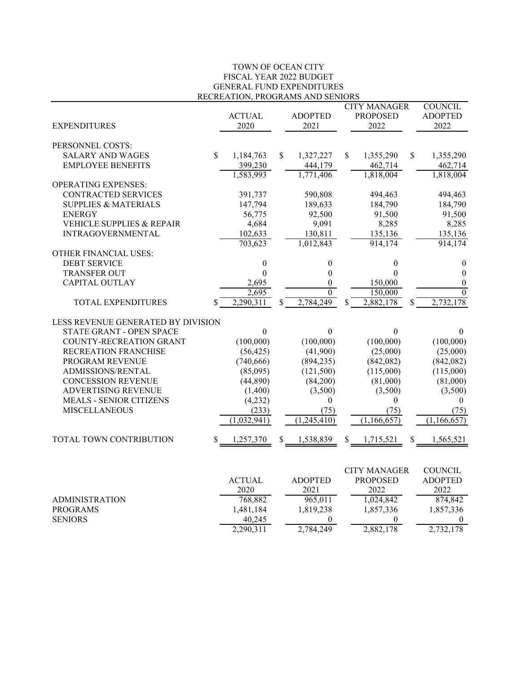## TOWN OF OCEAN CITY FISCAL YEAR 2022 BUDGET GENERAL FUND EXPENDITURES RECREATION, PROGRAMS AND SENIORS

| <b>EXPENDITURES</b>                              |                    | <b>ACTUAL</b><br>2020 |    | ADOPTED<br>2021   | <b>CITY MANAGER</b><br><b>PROPOSED</b><br>2022 |             | <b>COUNCIL</b><br><b>ADOPTED</b><br>2022 |
|--------------------------------------------------|--------------------|-----------------------|----|-------------------|------------------------------------------------|-------------|------------------------------------------|
| PERSONNEL COSTS:                                 |                    |                       |    |                   |                                                |             |                                          |
| <b>SALARY AND WAGES</b>                          | $\mathbf{\hat{S}}$ | 1,184,763             | \$ | 1,327,227         | \$<br>1,355,290                                | \$          | 1,355,290                                |
| <b>EMPLOYEE BENEFITS</b>                         |                    | 399,230               |    | 444,179           | 462,714                                        |             | 462,714                                  |
|                                                  |                    | 1,583,993             |    | 1,771,406         | 1,818,004                                      |             | 1,818,004                                |
| <b>OPERATING EXPENSES:</b>                       |                    |                       |    |                   |                                                |             |                                          |
| <b>CONTRACTED SERVICES</b>                       |                    | 391,737               |    | 590,808           | 494,463                                        |             | 494,463                                  |
| <b>SUPPLIES &amp; MATERIALS</b><br><b>ENERGY</b> |                    | 147,794<br>56,775     |    | 189,633<br>92,500 | 184,790<br>91,500                              |             | 184,790<br>91,500                        |
| <b>VEHICLE SUPPLIES &amp; REPAIR</b>             |                    | 4,684                 |    | 9,091             | 8,285                                          |             | 8,285                                    |
| <b>INTRAGOVERNMENTAL</b>                         |                    | 102,633               |    | 130,811           | 135,136                                        |             | 135,136                                  |
|                                                  |                    | 703,623               |    | 1,012,843         | 914,174                                        |             | 914,174                                  |
| <b>OTHER FINANCIAL USES:</b>                     |                    |                       |    |                   |                                                |             |                                          |
| <b>DEBT SERVICE</b>                              |                    | $\boldsymbol{0}$      |    | $\boldsymbol{0}$  | $\overline{0}$                                 |             | $\theta$                                 |
| <b>TRANSFER OUT</b>                              |                    | $\theta$              |    | $\theta$          | $\theta$                                       |             | $\boldsymbol{0}$                         |
| <b>CAPITAL OUTLAY</b>                            |                    | 2,695                 |    | $\boldsymbol{0}$  | 150,000                                        |             | $\boldsymbol{0}$                         |
|                                                  |                    | 2,695                 |    | $\overline{0}$    | 150,000                                        |             | $\overline{0}$                           |
| TOTAL EXPENDITURES                               | S                  | 2,290,311             |    | 2,784,249         | \$<br>2,882,178                                | $\mathbf S$ | 2,732,178                                |
| LESS REVENUE GENERATED BY DIVISION               |                    |                       |    |                   |                                                |             |                                          |
| STATE GRANT - OPEN SPACE                         |                    | $\boldsymbol{0}$      |    | $\theta$          | $\theta$                                       |             | $\Omega$                                 |
| COUNTY-RECREATION GRANT                          |                    | (100,000)             |    | (100,000)         | (100,000)                                      |             | (100,000)                                |
| RECREATION FRANCHISE                             |                    | (56, 425)             |    | (41,900)          | (25,000)                                       |             | (25,000)                                 |
| PROGRAM REVENUE                                  |                    | (740, 666)            |    | (894, 235)        | (842,082)                                      |             | (842,082)                                |
| ADMISSIONS/RENTAL                                |                    | (85,095)              |    | (121, 500)        | (115,000)                                      |             | (115,000)                                |
| <b>CONCESSION REVENUE</b>                        |                    | (44,890)              |    | (84,200)          | (81,000)                                       |             | (81,000)                                 |
| ADVERTISING REVENUE                              |                    | (1,400)               |    | (3,500)           | (3,500)                                        |             | (3,500)                                  |
| <b>MEALS - SENIOR CITIZENS</b>                   |                    | (4,232)               |    | 0                 | $\theta$                                       |             | $\theta$                                 |
| <b>MISCELLANEOUS</b>                             |                    | (233)                 |    | (75)              | (75)                                           |             | (75)                                     |
|                                                  |                    | (1,032,941)           |    | (1,245,410)       | (1,166,657)                                    |             | (1,166,657)                              |
| TOTAL TOWN CONTRIBUTION                          | S.                 | 1,257,370             | S. | 1,538,839         | \$<br>1,715,521                                | \$          | 1,565,521                                |
|                                                  |                    |                       |    |                   |                                                |             |                                          |
|                                                  |                    |                       |    |                   | <b>CITY MANAGER</b>                            |             | <b>COUNCIL</b>                           |
|                                                  |                    | <b>ACTUAL</b>         |    | <b>ADOPTED</b>    | <b>PROPOSED</b>                                |             | <b>ADOPTED</b>                           |
|                                                  |                    | 2020                  |    | 2021              | 2022                                           |             | 2022                                     |
| <b>ADMINISTRATION</b>                            |                    | 768,882               |    | 965,011           | 1,024,842                                      |             | 874,842                                  |
| <b>PROGRAMS</b>                                  |                    | 1,481,184             |    | 1,819,238         | 1,857,336                                      |             | 1,857,336                                |
| <b>SENIORS</b>                                   |                    | 40,245                |    | 0                 | $^{(1)}$                                       |             | $\theta$                                 |
|                                                  |                    | 2,290,311             |    | 2,784,249         | 2,882,178                                      |             | 2,732,178                                |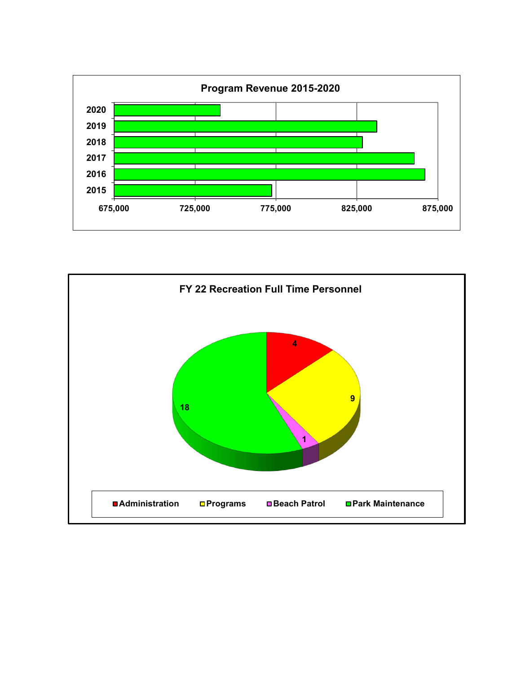